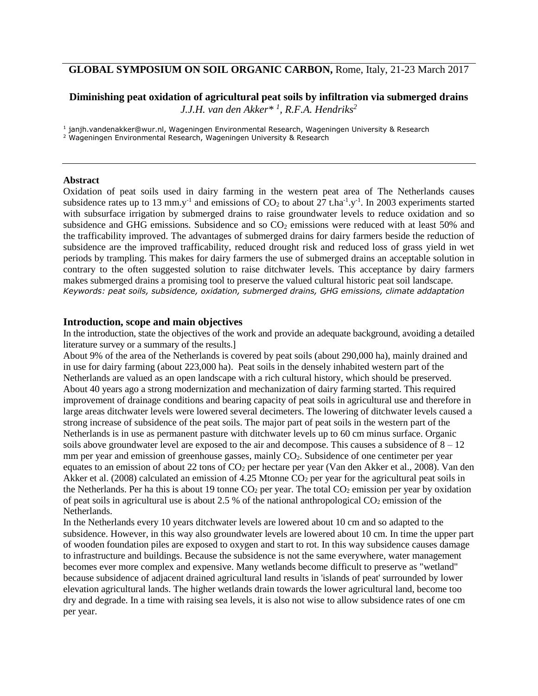# **GLOBAL SYMPOSIUM ON SOIL ORGANIC CARBON,** Rome, Italy, 21-23 March 2017

## **Diminishing peat oxidation of agricultural peat soils by infiltration via submerged drains** *J.J.H. van den Akker\* <sup>1</sup> , R.F.A. Hendriks<sup>2</sup>*

1 janjh.vandenakker@wur.nl, Wageningen Environmental Research, Wageningen University & Research

<sup>2</sup> Wageningen Environmental Research, Wageningen University & Research

### **Abstract**

Oxidation of peat soils used in dairy farming in the western peat area of The Netherlands causes subsidence rates up to 13 mm.y<sup>-1</sup> and emissions of  $CO_2$  to about 27 t.ha<sup>-1</sup>.y<sup>-1</sup>. In 2003 experiments started with subsurface irrigation by submerged drains to raise groundwater levels to reduce oxidation and so subsidence and GHG emissions. Subsidence and so  $CO<sub>2</sub>$  emissions were reduced with at least 50% and the trafficability improved. The advantages of submerged drains for dairy farmers beside the reduction of subsidence are the improved trafficability, reduced drought risk and reduced loss of grass yield in wet periods by trampling. This makes for dairy farmers the use of submerged drains an acceptable solution in contrary to the often suggested solution to raise ditchwater levels. This acceptance by dairy farmers makes submerged drains a promising tool to preserve the valued cultural historic peat soil landscape. *Keywords: peat soils, subsidence, oxidation, submerged drains, GHG emissions, climate addaptation* 

### **Introduction, scope and main objectives**

In the introduction, state the objectives of the work and provide an adequate background, avoiding a detailed literature survey or a summary of the results.]

About 9% of the area of the Netherlands is covered by peat soils (about 290,000 ha), mainly drained and in use for dairy farming (about 223,000 ha). Peat soils in the densely inhabited western part of the Netherlands are valued as an open landscape with a rich cultural history, which should be preserved. About 40 years ago a strong modernization and mechanization of dairy farming started. This required improvement of drainage conditions and bearing capacity of peat soils in agricultural use and therefore in large areas ditchwater levels were lowered several decimeters. The lowering of ditchwater levels caused a strong increase of subsidence of the peat soils. The major part of peat soils in the western part of the Netherlands is in use as permanent pasture with ditchwater levels up to 60 cm minus surface. Organic soils above groundwater level are exposed to the air and decompose. This causes a subsidence of  $8 - 12$ mm per year and emission of greenhouse gasses, mainly CO<sub>2</sub>. Subsidence of one centimeter per year equates to an emission of about 22 tons of  $CO<sub>2</sub>$  per hectare per year (Van den Akker et al., 2008). Van den Akker et al. (2008) calculated an emission of 4.25 Mtonne  $CO<sub>2</sub>$  per year for the agricultural peat soils in the Netherlands. Per ha this is about 19 tonne  $CO<sub>2</sub>$  per year. The total  $CO<sub>2</sub>$  emission per year by oxidation of peat soils in agricultural use is about 2.5 % of the national anthropological  $CO<sub>2</sub>$  emission of the Netherlands.

In the Netherlands every 10 years ditchwater levels are lowered about 10 cm and so adapted to the subsidence. However, in this way also groundwater levels are lowered about 10 cm. In time the upper part of wooden foundation piles are exposed to oxygen and start to rot. In this way subsidence causes damage to infrastructure and buildings. Because the subsidence is not the same everywhere, water management becomes ever more complex and expensive. Many wetlands become difficult to preserve as "wetland" because subsidence of adjacent drained agricultural land results in 'islands of peat' surrounded by lower elevation agricultural lands. The higher wetlands drain towards the lower agricultural land, become too dry and degrade. In a time with raising sea levels, it is also not wise to allow subsidence rates of one cm per year.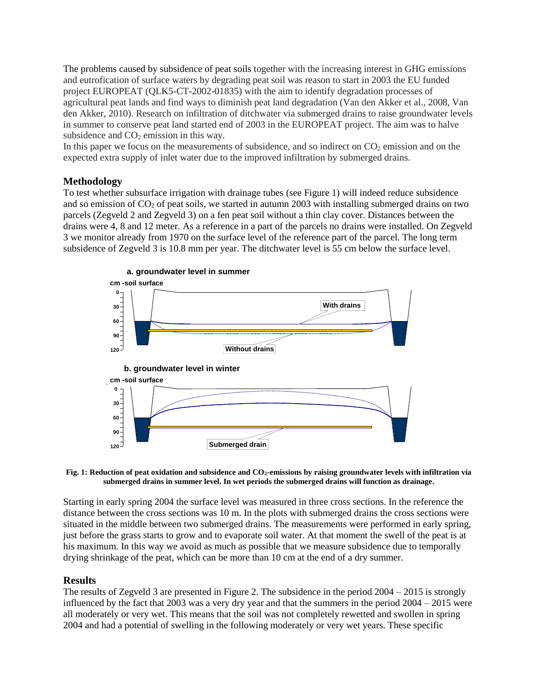The problems caused by subsidence of peat soils together with the increasing interest in GHG emissions and eutrofication of surface waters by degrading peat soil was reason to start in 2003 the EU funded project EUROPEAT (QLK5-CT-2002-01835) with the aim to identify degradation processes of agricultural peat lands and find ways to diminish peat land degradation (Van den Akker et al., 2008, Van den Akker, 2010). Research on infiltration of ditchwater via submerged drains to raise groundwater levels in summer to conserve peat land started end of 2003 in the EUROPEAT project. The aim was to halve subsidence and  $CO<sub>2</sub>$  emission in this way.

In this paper we focus on the measurements of subsidence, and so indirect on  $CO<sub>2</sub>$  emission and on the expected extra supply of inlet water due to the improved infiltration by submerged drains.

## **Methodology**

To test whether subsurface irrigation with drainage tubes (see Figure 1) will indeed reduce subsidence and so emission of  $CO<sub>2</sub>$  of peat soils, we started in autumn 2003 with installing submerged drains on two parcels (Zegveld 2 and Zegveld 3) on a fen peat soil without a thin clay cover. Distances between the drains were 4, 8 and 12 meter. As a reference in a part of the parcels no drains were installed. On Zegveld 3 we monitor already from 1970 on the surface level of the reference part of the parcel. The long term subsidence of Zegveld 3 is 10.8 mm per year. The ditchwater level is 55 cm below the surface level.



#### **Fig. 1: Reduction of peat oxidation and subsidence and CO2-emissions by raising groundwater levels with infiltration via submerged drains in summer level. In wet periods the submerged drains will function as drainage.**

Starting in early spring 2004 the surface level was measured in three cross sections. In the reference the distance between the cross sections was 10 m. In the plots with submerged drains the cross sections were situated in the middle between two submerged drains. The measurements were performed in early spring, just before the grass starts to grow and to evaporate soil water. At that moment the swell of the peat is at his maximum. In this way we avoid as much as possible that we measure subsidence due to temporally drying shrinkage of the peat, which can be more than 10 cm at the end of a dry summer.

### **Results**

The results of Zegveld 3 are presented in Figure 2. The subsidence in the period 2004 – 2015 is strongly influenced by the fact that 2003 was a very dry year and that the summers in the period 2004 – 2015 were all moderately or very wet. This means that the soil was not completely rewetted and swollen in spring 2004 and had a potential of swelling in the following moderately or very wet years. These specific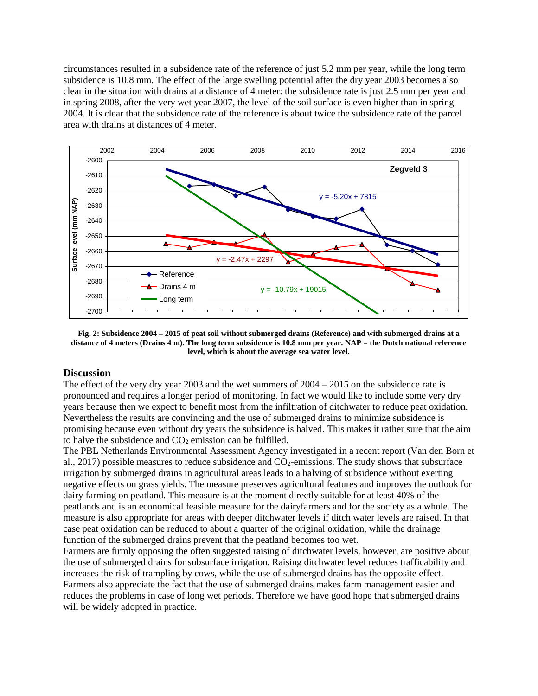circumstances resulted in a subsidence rate of the reference of just 5.2 mm per year, while the long term subsidence is 10.8 mm. The effect of the large swelling potential after the dry year 2003 becomes also clear in the situation with drains at a distance of 4 meter: the subsidence rate is just 2.5 mm per year and in spring 2008, after the very wet year 2007, the level of the soil surface is even higher than in spring 2004. It is clear that the subsidence rate of the reference is about twice the subsidence rate of the parcel area with drains at distances of 4 meter.



**Fig. 2: Subsidence 2004 – 2015 of peat soil without submerged drains (Reference) and with submerged drains at a distance of 4 meters (Drains 4 m). The long term subsidence is 10.8 mm per year. NAP = the Dutch national reference level, which is about the average sea water level.**

### **Discussion**

The effect of the very dry year 2003 and the wet summers of  $2004 - 2015$  on the subsidence rate is pronounced and requires a longer period of monitoring. In fact we would like to include some very dry years because then we expect to benefit most from the infiltration of ditchwater to reduce peat oxidation. Nevertheless the results are convincing and the use of submerged drains to minimize subsidence is promising because even without dry years the subsidence is halved. This makes it rather sure that the aim to halve the subsidence and  $CO<sub>2</sub>$  emission can be fulfilled.

The PBL Netherlands Environmental Assessment Agency investigated in a recent report (Van den Born et al., 2017) possible measures to reduce subsidence and  $CO<sub>2</sub>$ -emissions. The study shows that subsurface irrigation by submerged drains in agricultural areas leads to a halving of subsidence without exerting negative effects on grass yields. The measure preserves agricultural features and improves the outlook for dairy farming on peatland. This measure is at the moment directly suitable for at least 40% of the peatlands and is an economical feasible measure for the dairyfarmers and for the society as a whole. The measure is also appropriate for areas with deeper ditchwater levels if ditch water levels are raised. In that case peat oxidation can be reduced to about a quarter of the original oxidation, while the drainage function of the submerged drains prevent that the peatland becomes too wet.

Farmers are firmly opposing the often suggested raising of ditchwater levels, however, are positive about the use of submerged drains for subsurface irrigation. Raising ditchwater level reduces trafficability and increases the risk of trampling by cows, while the use of submerged drains has the opposite effect. Farmers also appreciate the fact that the use of submerged drains makes farm management easier and reduces the problems in case of long wet periods. Therefore we have good hope that submerged drains will be widely adopted in practice.